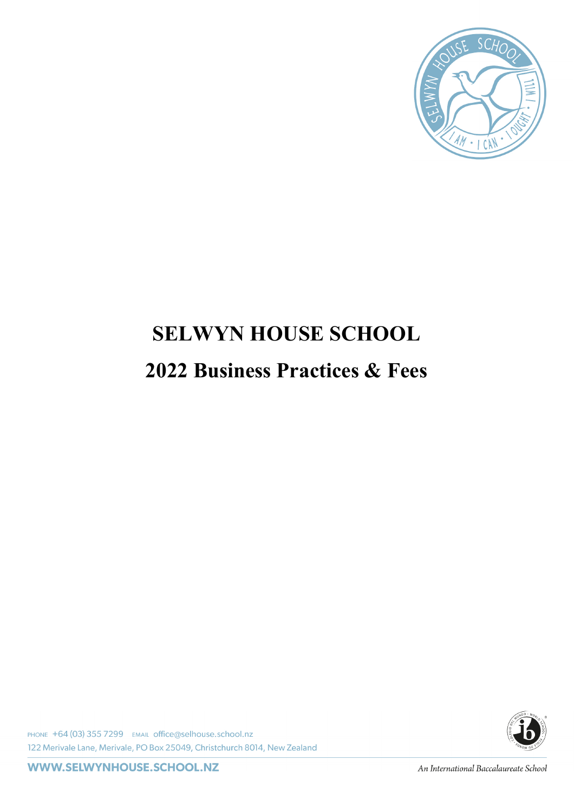

# **SELWYN HOUSE SCHOOL 2022 Business Practices & Fees**

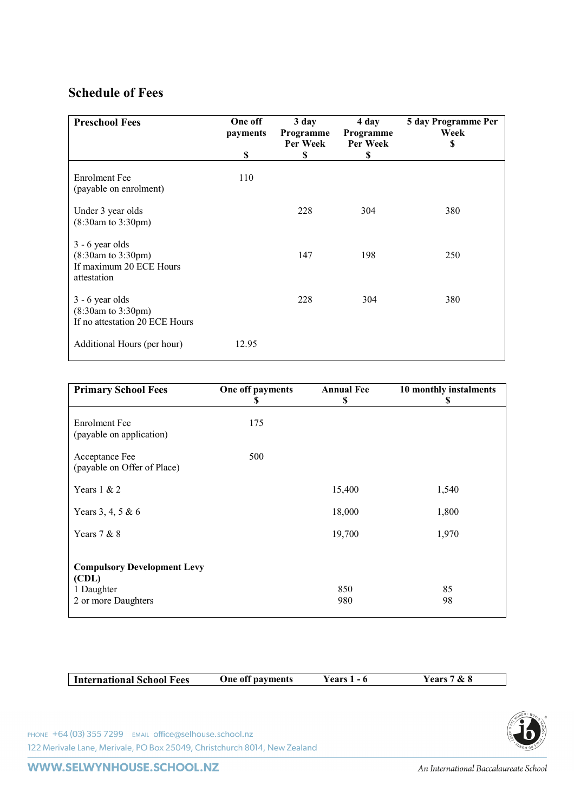# **Schedule of Fees**

| <b>Preschool Fees</b>                                                                        | One off<br>payments | 3 day<br>Programme<br>Per Week | 4 day<br>Programme<br>Per Week | 5 day Programme Per<br>Week<br>S |
|----------------------------------------------------------------------------------------------|---------------------|--------------------------------|--------------------------------|----------------------------------|
|                                                                                              | \$                  | \$                             | S                              |                                  |
| <b>Enrolment</b> Fee<br>(payable on enrolment)                                               | 110                 |                                |                                |                                  |
| Under 3 year olds<br>$(8:30am \text{ to } 3:30pm)$                                           |                     | 228                            | 304                            | 380                              |
| $3 - 6$ year olds<br>$(8:30am \text{ to } 3:30pm)$<br>If maximum 20 ECE Hours<br>attestation |                     | 147                            | 198                            | 250                              |
| $3 - 6$ year olds<br>(8:30am to 3:30pm)<br>If no attestation 20 ECE Hours                    |                     | 228                            | 304                            | 380                              |
| Additional Hours (per hour)                                                                  | 12.95               |                                |                                |                                  |

| <b>Primary School Fees</b>                                                       | One off payments<br>S | <b>Annual Fee</b><br>\$ | 10 monthly instalments<br>S |
|----------------------------------------------------------------------------------|-----------------------|-------------------------|-----------------------------|
| <b>Enrolment</b> Fee<br>(payable on application)                                 | 175                   |                         |                             |
| Acceptance Fee<br>(payable on Offer of Place)                                    | 500                   |                         |                             |
| Years $1 \& 2$                                                                   |                       | 15,400                  | 1,540                       |
| Years 3, 4, 5 & 6                                                                |                       | 18,000                  | 1,800                       |
| Years $7 & 8$                                                                    |                       | 19,700                  | 1,970                       |
| <b>Compulsory Development Levy</b><br>(CDL)<br>1 Daughter<br>2 or more Daughters |                       | 850<br>980              | 85<br>98                    |
|                                                                                  |                       |                         |                             |

| International School Fees | One off payments | Years 1 - 6 | Years 7 & 8 |
|---------------------------|------------------|-------------|-------------|
|                           |                  |             |             |

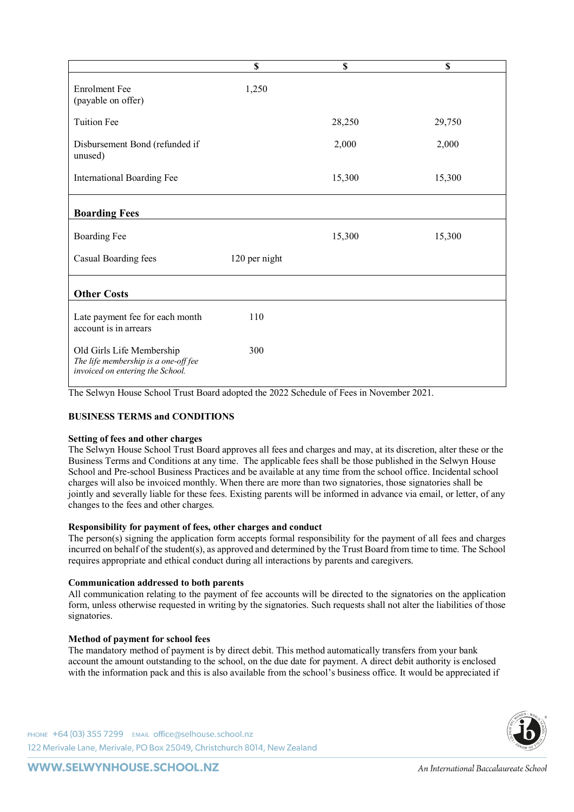|                                                                                                       | \$            | \$     | \$     |
|-------------------------------------------------------------------------------------------------------|---------------|--------|--------|
| <b>Enrolment Fee</b><br>(payable on offer)                                                            | 1,250         |        |        |
| <b>Tuition Fee</b>                                                                                    |               | 28,250 | 29,750 |
| Disbursement Bond (refunded if<br>unused)                                                             |               | 2,000  | 2,000  |
| International Boarding Fee                                                                            |               | 15,300 | 15,300 |
| <b>Boarding Fees</b>                                                                                  |               |        |        |
| <b>Boarding Fee</b>                                                                                   |               | 15,300 | 15,300 |
| Casual Boarding fees                                                                                  | 120 per night |        |        |
| <b>Other Costs</b>                                                                                    |               |        |        |
| Late payment fee for each month<br>account is in arrears                                              | 110           |        |        |
| Old Girls Life Membership<br>The life membership is a one-off fee<br>invoiced on entering the School. | 300           |        |        |

The Selwyn House School Trust Board adopted the 2022 Schedule of Fees in November 2021.

# **BUSINESS TERMS and CONDITIONS**

#### **Setting of fees and other charges**

The Selwyn House School Trust Board approves all fees and charges and may, at its discretion, alter these or the Business Terms and Conditions at any time. The applicable fees shall be those published in the Selwyn House School and Pre-school Business Practices and be available at any time from the school office. Incidental school charges will also be invoiced monthly. When there are more than two signatories, those signatories shall be jointly and severally liable for these fees. Existing parents will be informed in advance via email, or letter, of any changes to the fees and other charges.

#### **Responsibility for payment of fees, other charges and conduct**

The person(s) signing the application form accepts formal responsibility for the payment of all fees and charges incurred on behalf of the student(s), as approved and determined by the Trust Board from time to time. The School requires appropriate and ethical conduct during all interactions by parents and caregivers.

#### **Communication addressed to both parents**

All communication relating to the payment of fee accounts will be directed to the signatories on the application form, unless otherwise requested in writing by the signatories. Such requests shall not alter the liabilities of those signatories.

#### **Method of payment for school fees**

The mandatory method of payment is by direct debit. This method automatically transfers from your bank account the amount outstanding to the school, on the due date for payment. A direct debit authority is enclosed with the information pack and this is also available from the school's business office. It would be appreciated if

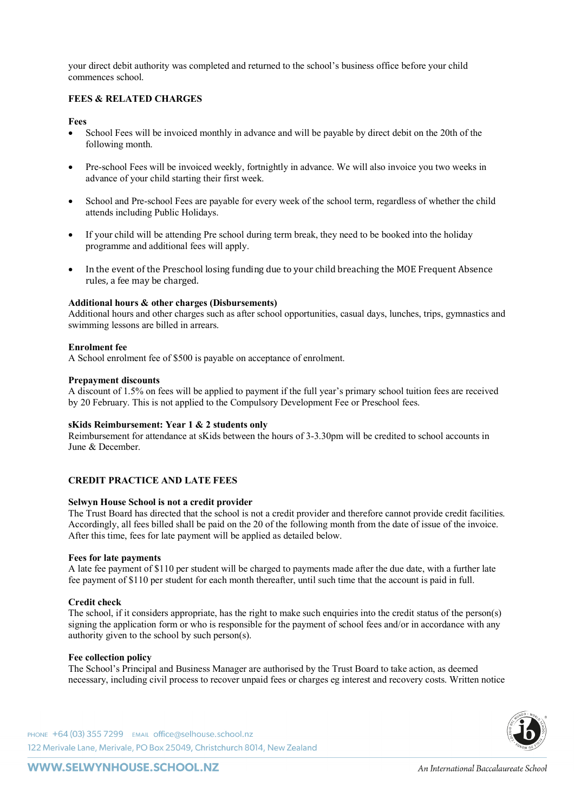your direct debit authority was completed and returned to the school's business office before your child commences school.

# **FEES & RELATED CHARGES**

#### **Fees**

- School Fees will be invoiced monthly in advance and will be payable by direct debit on the 20th of the following month.
- Pre-school Fees will be invoiced weekly, fortnightly in advance. We will also invoice you two weeks in advance of your child starting their first week.
- School and Pre-school Fees are payable for every week of the school term, regardless of whether the child attends including Public Holidays.
- If your child will be attending Pre school during term break, they need to be booked into the holiday programme and additional fees will apply.
- In the event of the Preschool losing funding due to your child breaching the MOE Frequent Absence rules, a fee may be charged.

#### **Additional hours & other charges (Disbursements)**

Additional hours and other charges such as after school opportunities, casual days, lunches, trips, gymnastics and swimming lessons are billed in arrears.

#### **Enrolment fee**

A School enrolment fee of \$500 is payable on acceptance of enrolment.

#### **Prepayment discounts**

A discount of 1.5% on fees will be applied to payment if the full year's primary school tuition fees are received by 20 February. This is not applied to the Compulsory Development Fee or Preschool fees.

#### **sKids Reimbursement: Year 1 & 2 students only**

Reimbursement for attendance at sKids between the hours of 3-3.30pm will be credited to school accounts in June & December.

# **CREDIT PRACTICE AND LATE FEES**

#### **Selwyn House School is not a credit provider**

The Trust Board has directed that the school is not a credit provider and therefore cannot provide credit facilities. Accordingly, all fees billed shall be paid on the 20 of the following month from the date of issue of the invoice. After this time, fees for late payment will be applied as detailed below.

#### **Fees for late payments**

A late fee payment of \$110 per student will be charged to payments made after the due date, with a further late fee payment of \$110 per student for each month thereafter, until such time that the account is paid in full.

# **Credit check**

The school, if it considers appropriate, has the right to make such enquiries into the credit status of the person(s) signing the application form or who is responsible for the payment of school fees and/or in accordance with any authority given to the school by such person(s).

#### **Fee collection policy**

The School's Principal and Business Manager are authorised by the Trust Board to take action, as deemed necessary, including civil process to recover unpaid fees or charges eg interest and recovery costs. Written notice